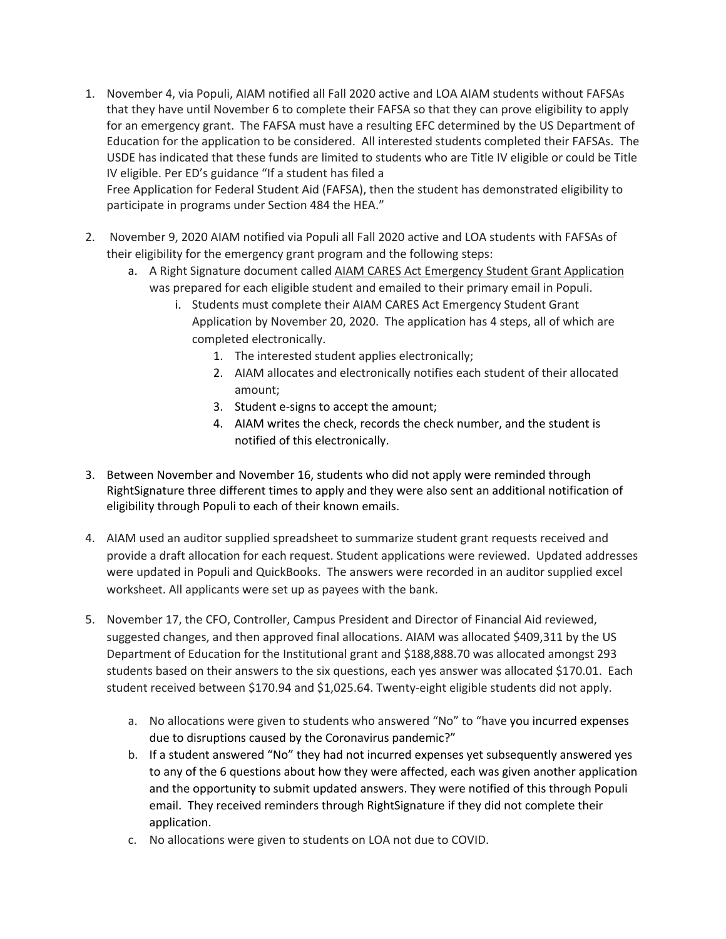1. November 4, via Populi, AIAM notified all Fall 2020 active and LOA AIAM students without FAFSAs that they have until November 6 to complete their FAFSA so that they can prove eligibility to apply for an emergency grant. The FAFSA must have a resulting EFC determined by the US Department of Education for the application to be considered. All interested students completed their FAFSAs. The USDE has indicated that these funds are limited to students who are Title IV eligible or could be Title IV eligible. Per ED's guidance "If a student has filed a

Free Application for Federal Student Aid (FAFSA), then the student has demonstrated eligibility to participate in programs under Section 484 the HEA."

- 2. November 9, 2020 AIAM notified via Populi all Fall 2020 active and LOA students with FAFSAs of their eligibility for the emergency grant program and the following steps:
	- a. A Right Signature document called AIAM CARES Act Emergency Student Grant Application was prepared for each eligible student and emailed to their primary email in Populi.
		- i. Students must complete their AIAM CARES Act Emergency Student Grant Application by November 20, 2020. The application has 4 steps, all of which are completed electronically.
			- 1. The interested student applies electronically;
			- 2. AIAM allocates and electronically notifies each student of their allocated amount;
			- 3. Student e-signs to accept the amount;
			- 4. AIAM writes the check, records the check number, and the student is notified of this electronically.
- 3. Between November and November 16, students who did not apply were reminded through RightSignature three different times to apply and they were also sent an additional notification of eligibility through Populi to each of their known emails.
- 4. AIAM used an auditor supplied spreadsheet to summarize student grant requests received and provide a draft allocation for each request. Student applications were reviewed. Updated addresses were updated in Populi and QuickBooks. The answers were recorded in an auditor supplied excel worksheet. All applicants were set up as payees with the bank.
- 5. November 17, the CFO, Controller, Campus President and Director of Financial Aid reviewed, suggested changes, and then approved final allocations. AIAM was allocated \$409,311 by the US Department of Education for the Institutional grant and \$188,888.70 was allocated amongst 293 students based on their answers to the six questions, each yes answer was allocated \$170.01. Each student received between \$170.94 and \$1,025.64. Twenty-eight eligible students did not apply.
	- a. No allocations were given to students who answered "No" to "have you incurred expenses due to disruptions caused by the Coronavirus pandemic?"
	- b. If a student answered "No" they had not incurred expenses yet subsequently answered yes to any of the 6 questions about how they were affected, each was given another application and the opportunity to submit updated answers. They were notified of this through Populi email. They received reminders through RightSignature if they did not complete their application.
	- c. No allocations were given to students on LOA not due to COVID.